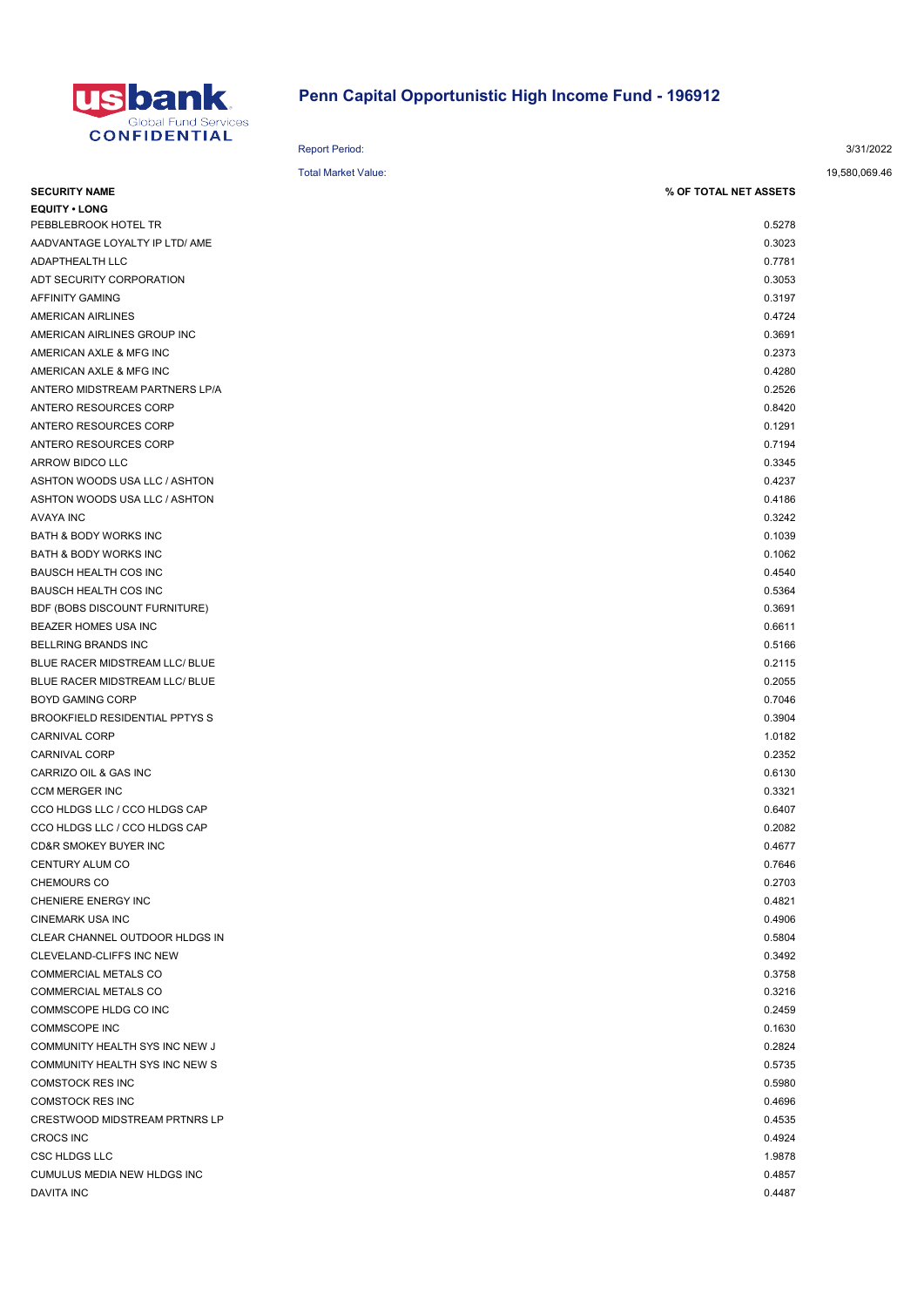

## Penn Capital Opportunistic High Income Fund - 196912

|                                       | <b>Report Period:</b>      |                       | 3/31/2022     |
|---------------------------------------|----------------------------|-----------------------|---------------|
|                                       | <b>Total Market Value:</b> |                       | 19,580,069.46 |
| <b>SECURITY NAME</b>                  |                            | % OF TOTAL NET ASSETS |               |
| <b>EQUITY • LONG</b>                  |                            |                       |               |
| PEBBLEBROOK HOTEL TR                  |                            | 0.5278                |               |
| AADVANTAGE LOYALTY IP LTD/ AME        |                            | 0.3023                |               |
| ADAPTHEALTH LLC                       |                            | 0.7781                |               |
| ADT SECURITY CORPORATION              |                            | 0.3053                |               |
| AFFINITY GAMING                       |                            | 0.3197                |               |
| AMERICAN AIRLINES                     |                            | 0.4724                |               |
| AMERICAN AIRLINES GROUP INC           |                            | 0.3691                |               |
| AMERICAN AXLE & MFG INC               |                            | 0.2373                |               |
| AMERICAN AXLE & MFG INC               |                            | 0.4280                |               |
| ANTERO MIDSTREAM PARTNERS LP/A        |                            | 0.2526                |               |
| ANTERO RESOURCES CORP                 |                            | 0.8420                |               |
| ANTERO RESOURCES CORP                 |                            | 0.1291                |               |
| ANTERO RESOURCES CORP                 |                            | 0.7194                |               |
| ARROW BIDCO LLC                       |                            | 0.3345                |               |
| ASHTON WOODS USA LLC / ASHTON         |                            | 0.4237                |               |
| ASHTON WOODS USA LLC / ASHTON         |                            | 0.4186                |               |
| <b>AVAYA INC</b>                      |                            | 0.3242                |               |
| <b>BATH &amp; BODY WORKS INC</b>      |                            | 0.1039                |               |
| BATH & BODY WORKS INC                 |                            | 0.1062                |               |
| <b>BAUSCH HEALTH COS INC</b>          |                            | 0.4540                |               |
| <b>BAUSCH HEALTH COS INC</b>          |                            | 0.5364                |               |
| BDF (BOBS DISCOUNT FURNITURE)         |                            | 0.3691                |               |
| BEAZER HOMES USA INC                  |                            | 0.6611                |               |
| BELLRING BRANDS INC                   |                            | 0.5166                |               |
| BLUE RACER MIDSTREAM LLC/ BLUE        |                            | 0.2115                |               |
| BLUE RACER MIDSTREAM LLC/ BLUE        |                            | 0.2055                |               |
| <b>BOYD GAMING CORP</b>               |                            | 0.7046                |               |
| <b>BROOKFIELD RESIDENTIAL PPTYS S</b> |                            | 0.3904                |               |
| <b>CARNIVAL CORP</b>                  |                            | 1.0182                |               |
| <b>CARNIVAL CORP</b>                  |                            | 0.2352                |               |
| CARRIZO OIL & GAS INC                 |                            | 0.6130                |               |
| <b>CCM MERGER INC</b>                 |                            | 0.3321                |               |
| CCO HLDGS LLC / CCO HLDGS CAP         |                            | 0.6407                |               |
| CCO HLDGS LLC / CCO HLDGS CAP         |                            | 0.2082                |               |
| CD&R SMOKEY BUYER INC                 |                            | 0.4677                |               |
| CENTURY ALUM CO                       |                            | 0.7646                |               |
| <b>CHEMOURS CO</b>                    |                            | 0.2703                |               |
| CHENIERE ENERGY INC                   |                            | 0.4821                |               |
| <b>CINEMARK USA INC</b>               |                            | 0.4906                |               |
| CLEAR CHANNEL OUTDOOR HLDGS IN        |                            | 0.5804                |               |
| CLEVELAND-CLIFFS INC NEW              |                            | 0.3492                |               |
| COMMERCIAL METALS CO                  |                            | 0.3758                |               |
| COMMERCIAL METALS CO                  |                            | 0.3216                |               |
| COMMSCOPE HLDG CO INC                 |                            | 0.2459                |               |
| <b>COMMSCOPE INC</b>                  |                            | 0.1630                |               |
| COMMUNITY HEALTH SYS INC NEW J        |                            | 0.2824                |               |
| COMMUNITY HEALTH SYS INC NEW S        |                            | 0.5735                |               |
| <b>COMSTOCK RES INC</b>               |                            | 0.5980                |               |
| <b>COMSTOCK RES INC</b>               |                            | 0.4696                |               |
| <b>CRESTWOOD MIDSTREAM PRTNRS LP</b>  |                            | 0.4535                |               |
| <b>CROCS INC</b>                      |                            | 0.4924                |               |
| <b>CSC HLDGS LLC</b>                  |                            | 1.9878                |               |
| CUMULUS MEDIA NEW HLDGS INC           |                            | 0.4857                |               |
| <b>DAVITA INC</b>                     |                            | 0.4487                |               |
|                                       |                            |                       |               |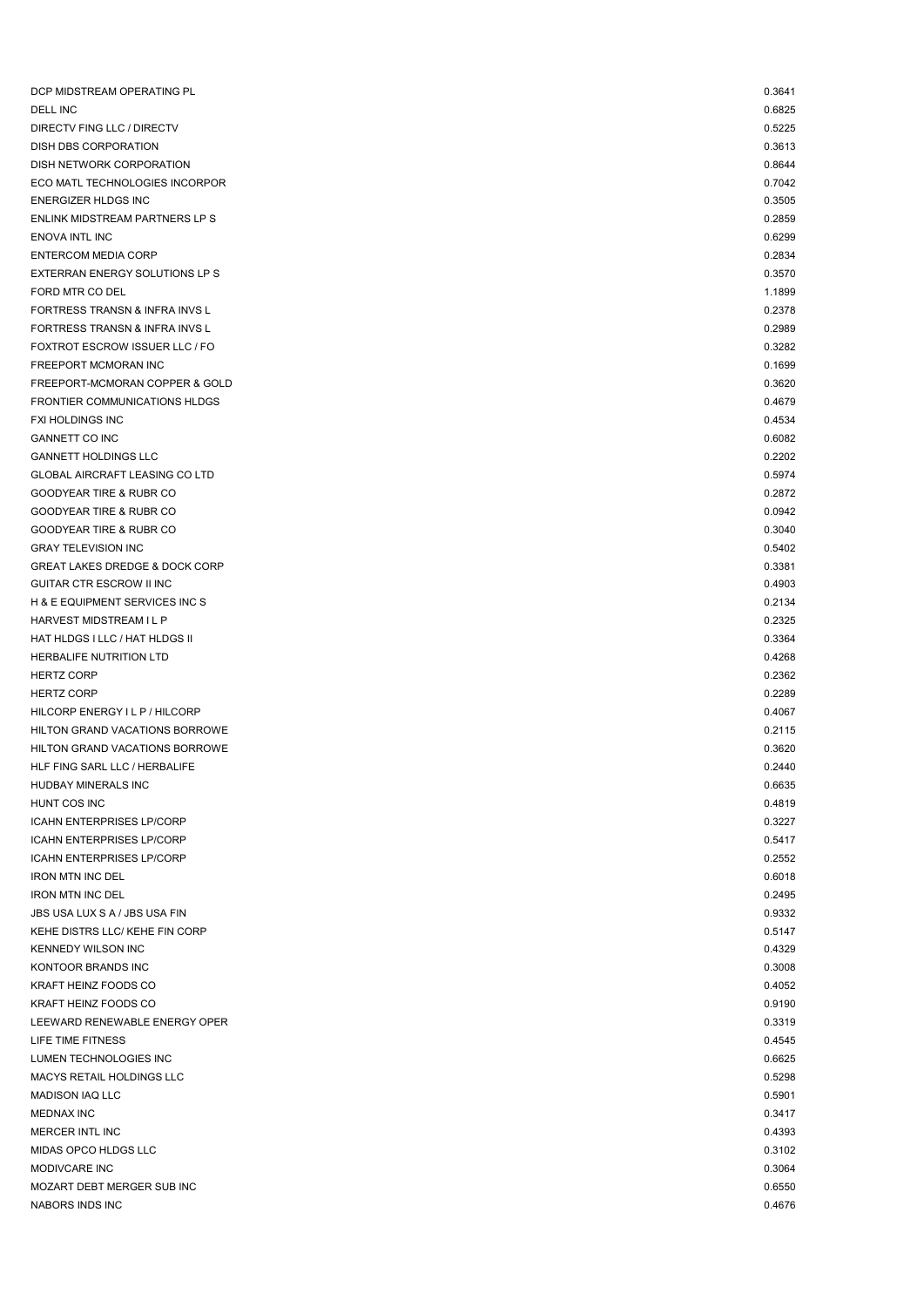| DCP MIDSTREAM OPERATING PL                | 0.3641 |
|-------------------------------------------|--------|
| <b>DELL INC</b>                           | 0.6825 |
| DIRECTV FING LLC / DIRECTV                | 0.5225 |
| DISH DBS CORPORATION                      | 0.3613 |
| DISH NETWORK CORPORATION                  | 0.8644 |
| ECO MATL TECHNOLOGIES INCORPOR            | 0.7042 |
| <b>ENERGIZER HLDGS INC</b>                | 0.3505 |
| ENLINK MIDSTREAM PARTNERS LP S            | 0.2859 |
| <b>ENOVA INTL INC</b>                     | 0.6299 |
| ENTERCOM MEDIA CORP                       | 0.2834 |
| EXTERRAN ENERGY SOLUTIONS LP S            | 0.3570 |
| FORD MTR CO DEL                           | 1.1899 |
| FORTRESS TRANSN & INFRA INVS L            | 0.2378 |
| FORTRESS TRANSN & INFRA INVS L            | 0.2989 |
| FOXTROT ESCROW ISSUER LLC / FO            | 0.3282 |
| FREEPORT MCMORAN INC                      | 0.1699 |
| FREEPORT-MCMORAN COPPER & GOLD            | 0.3620 |
| FRONTIER COMMUNICATIONS HLDGS             | 0.4679 |
| <b>FXI HOLDINGS INC</b>                   | 0.4534 |
| <b>GANNETT CO INC</b>                     | 0.6082 |
| <b>GANNETT HOLDINGS LLC</b>               | 0.2202 |
| <b>GLOBAL AIRCRAFT LEASING CO LTD</b>     | 0.5974 |
| <b>GOODYEAR TIRE &amp; RUBR CO</b>        | 0.2872 |
| <b>GOODYEAR TIRE &amp; RUBR CO</b>        | 0.0942 |
| <b>GOODYEAR TIRE &amp; RUBR CO</b>        | 0.3040 |
| <b>GRAY TELEVISION INC</b>                | 0.5402 |
| <b>GREAT LAKES DREDGE &amp; DOCK CORP</b> | 0.3381 |
| GUITAR CTR ESCROW II INC                  | 0.4903 |
| H & E EQUIPMENT SERVICES INC S            | 0.2134 |
| HARVEST MIDSTREAM I L P                   | 0.2325 |
| HAT HLDGS I LLC / HAT HLDGS II            | 0.3364 |
| HERBALIFE NUTRITION LTD                   | 0.4268 |
| <b>HERTZ CORP</b>                         | 0.2362 |
| <b>HERTZ CORP</b>                         | 0.2289 |
| HILCORP ENERGY I L P / HILCORP            | 0.4067 |
| HILTON GRAND VACATIONS BORROWE            | 0.2115 |
| HILTON GRAND VACATIONS BORROWE            | 0.3620 |
| HLF FING SARL LLC / HERBALIFE             | 0.2440 |
| HUDBAY MINERALS INC                       | 0.6635 |
| HUNT COS INC                              | 0.4819 |
| <b>ICAHN ENTERPRISES LP/CORP</b>          | 0.3227 |
| <b>ICAHN ENTERPRISES LP/CORP</b>          | 0.5417 |
| <b>ICAHN ENTERPRISES LP/CORP</b>          | 0.2552 |
| <b>IRON MTN INC DEL</b>                   | 0.6018 |
| <b>IRON MTN INC DEL</b>                   | 0.2495 |
| JBS USA LUX S A / JBS USA FIN             | 0.9332 |
| KEHE DISTRS LLC/ KEHE FIN CORP            | 0.5147 |
| KENNEDY WILSON INC                        | 0.4329 |
| KONTOOR BRANDS INC                        | 0.3008 |
| KRAFT HEINZ FOODS CO                      | 0.4052 |
| KRAFT HEINZ FOODS CO                      | 0.9190 |
|                                           |        |
| LEEWARD RENEWABLE ENERGY OPER             | 0.3319 |
| LIFE TIME FITNESS                         | 0.4545 |
| LUMEN TECHNOLOGIES INC                    | 0.6625 |
| MACYS RETAIL HOLDINGS LLC                 | 0.5298 |
| <b>MADISON IAQ LLC</b>                    | 0.5901 |
| <b>MEDNAX INC</b>                         | 0.3417 |
| MERCER INTL INC                           | 0.4393 |
| MIDAS OPCO HLDGS LLC                      | 0.3102 |
| MODIVCARE INC                             | 0.3064 |
| MOZART DEBT MERGER SUB INC                | 0.6550 |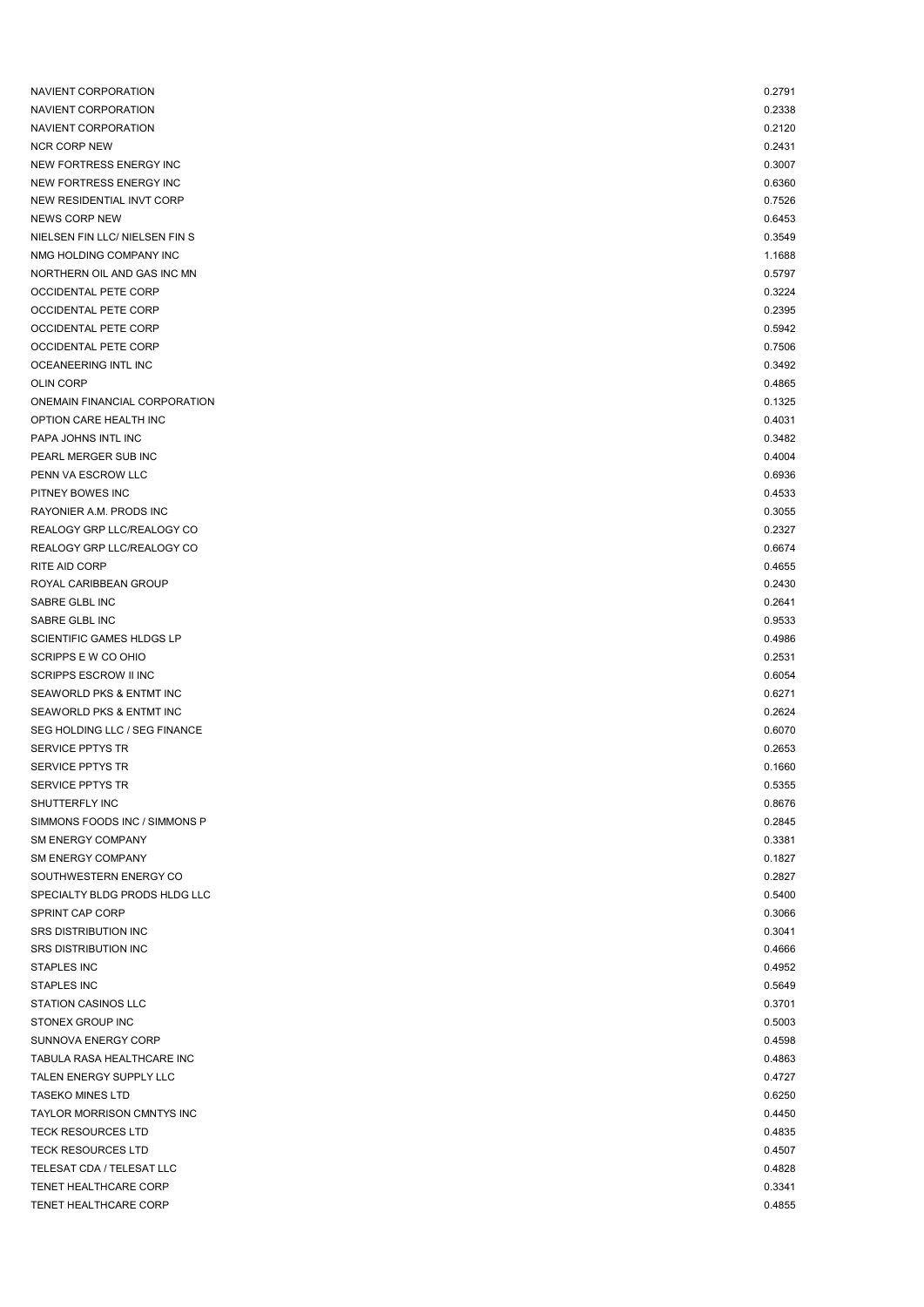| NAVIENT CORPORATION            | 0.2791 |
|--------------------------------|--------|
| NAVIENT CORPORATION            | 0.2338 |
| NAVIENT CORPORATION            | 0.2120 |
| <b>NCR CORP NEW</b>            | 0.2431 |
| NEW FORTRESS ENERGY INC        | 0.3007 |
| NEW FORTRESS ENERGY INC        | 0.6360 |
| NEW RESIDENTIAL INVT CORP      | 0.7526 |
| <b>NEWS CORP NEW</b>           | 0.6453 |
| NIELSEN FIN LLC/ NIELSEN FIN S | 0.3549 |
| NMG HOLDING COMPANY INC        | 1.1688 |
| NORTHERN OIL AND GAS INC MN    | 0.5797 |
| <b>OCCIDENTAL PETE CORP</b>    | 0.3224 |
| <b>OCCIDENTAL PETE CORP</b>    | 0.2395 |
| <b>OCCIDENTAL PETE CORP</b>    | 0.5942 |
| <b>OCCIDENTAL PETE CORP</b>    | 0.7506 |
| OCEANEERING INTL INC           | 0.3492 |
| <b>OLIN CORP</b>               | 0.4865 |
| ONEMAIN FINANCIAL CORPORATION  | 0.1325 |
| OPTION CARE HEALTH INC         | 0.4031 |
| PAPA JOHNS INTL INC            | 0.3482 |
| PEARL MERGER SUB INC           | 0.4004 |
| PENN VA ESCROW LLC             | 0.6936 |
| PITNEY BOWES INC               | 0.4533 |
| RAYONIER A.M. PRODS INC        | 0.3055 |
| REALOGY GRP LLC/REALOGY CO     | 0.2327 |
| REALOGY GRP LLC/REALOGY CO     | 0.6674 |
| RITE AID CORP                  | 0.4655 |
| ROYAL CARIBBEAN GROUP          | 0.2430 |
| SABRE GLBL INC                 | 0.2641 |
| SABRE GLBL INC                 | 0.9533 |
| SCIENTIFIC GAMES HLDGS LP      | 0.4986 |
| SCRIPPS E W CO OHIO            | 0.2531 |
| <b>SCRIPPS ESCROW II INC</b>   | 0.6054 |
| SEAWORLD PKS & ENTMT INC       | 0.6271 |
| SEAWORLD PKS & ENTMT INC       | 0.2624 |
| SEG HOLDING LLC / SEG FINANCE  | 0.6070 |
| <b>SERVICE PPTYS TR</b>        | 0.2653 |
| <b>SERVICE PPTYS TR</b>        | 0.1660 |
| SERVICE PPTYS TR               | 0.5355 |
| SHUTTERFLY INC                 | 0.8676 |
| SIMMONS FOODS INC / SIMMONS P  | 0.2845 |
| <b>SM ENERGY COMPANY</b>       | 0.3381 |
| <b>SM ENERGY COMPANY</b>       | 0.1827 |
| SOUTHWESTERN ENERGY CO         | 0.2827 |
| SPECIALTY BLDG PRODS HLDG LLC  | 0.5400 |
| SPRINT CAP CORP                | 0.3066 |
| <b>SRS DISTRIBUTION INC</b>    | 0.3041 |
| <b>SRS DISTRIBUTION INC</b>    | 0.4666 |
| <b>STAPLES INC</b>             | 0.4952 |
| <b>STAPLES INC</b>             | 0.5649 |
| STATION CASINOS LLC            | 0.3701 |
| STONEX GROUP INC               | 0.5003 |
| <b>SUNNOVA ENERGY CORP</b>     | 0.4598 |
| TABULA RASA HEALTHCARE INC     | 0.4863 |
| TALEN ENERGY SUPPLY LLC        | 0.4727 |
| <b>TASEKO MINES LTD</b>        | 0.6250 |
| TAYLOR MORRISON CMNTYS INC     | 0.4450 |
| <b>TECK RESOURCES LTD</b>      | 0.4835 |
| <b>TECK RESOURCES LTD</b>      | 0.4507 |
| TELESAT CDA / TELESAT LLC      | 0.4828 |
| TENET HEALTHCARE CORP          | 0.3341 |
| TENET HEALTHCARE CORP          | 0.4855 |
|                                |        |